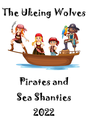# The Ukeing Wolves



Pirates and

# Sea Shanfies

2022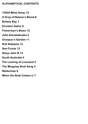# **ALPHABETICAL CONTENTS**

**10000 Miles Away 15**

**A Drop of Nelson's Blood 8**

**Botany Bay 1**

**Drunken Sailor 9**

**Fisherman's Blues 10**

**John Kanakaknaka 2**

**Octopus's Garden 11**

**Roll Alabama 12**

**Sea Cruise 13**

**Sloop John B 14**

**South Australia 4**

**The Leaving of Liverpool 5**

**The Mingulay Boat Song 3**

**Wellerman 6**

**When the Boat Comes in 7**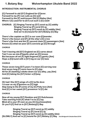**1.Botany Bay Wolverhampton Ukulele Band 2022**

# **INTRODUCTION: INSTRUMENTAL CHORUS**

**[C] Farewell to old [G7] England for-[C]ever. Farewell to my [F] rum culls as [C] well Farewell to the [F] well-known Old [C] Bailey [Am] Where I [C] used for to [G7] cut such a [C] swell**

**CHORUS: [C] Singing Tooral ay [G7] ooral ay [C] addity Singing Tooral ay [F] ooral [C] ay Singing Tooral ay [G7] ooral ay [C] addity [Am] And we're [C] bound for [G7] Botany [C] Bay**

**There's the captain as [G7] is our com-[C]mander. There's the bosun and [F] all the ship's [C] crew There's the first and the [F] second class [C] passengers [Am] Knows [C] what we poor [G7] convicts go [C] through**

# **CHORUS**

**Tain't leaving old [G7] England we [C] cares about Tain't cos we mis-[F]spells what we [C] knows But because all we [F] light fingered [C] gentry [Am] Hops a-[C]round with a [G7] log on our [C] toes**

# **CHORUS**

**These seven long [G7] years I've been [C] serving now And seven long [F] more have to [C] stay All for [F] bashing a bloke down our [C] alley, yay [Am] And [C] taking his [G7] ticker a-[C]way**

# **CHORUS**

**Oh had I the [G7] wings of a [C] turtle dove I'd soar on my [F]pinions so [C] high Slap bang to the [F] arms of my [C] Polly love [Am] And [C] in her sweet [G7] presence I'd [C] die**

# **CHORUS**

**Now all my young [G7] Dookies and [C] Dutchesses Take warning from [F] what I've to [C] say Mind all is your [F] own as you [C] toucheses[Am] Or you'll [C] find us in [G7] Botany[C] Bay**

 **Singing Tooral ay [G7] ooral ay [C] addity Singing Tooral ay [F] ooral [C] ay Singing Tooral ay [G7] ooral ay [C] addity [Am] [SLOWLY] And we're [C] bound for [G7] Botany [C] Bay Ack:Bridgnorth Ukulele Band 2016**





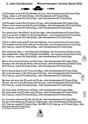# **2, John Kanakanaka Wolverhampton Ukulele Band 2022**



**I [C] thought I heard the [F] Old Man [C] say, John Kanakanaka [G7] tulai-[C]ay Today, today is a [F] holi-[C]day, John Kanakanaka [G7] tulai-[C]ay [C/] Tulai-ay, ooooh [F/] tulai-[C/]ay, John Kanakanaka [G7] tulai-[C]ay**

**I [C] thought I heard the [F] bosun [C] say, John Kanakanaka [G7] tulai-[C]ay There's work tomorrow but [F] not to-[C]day, John Kanakanaka [G7] tulai-[C]ay [C/] Tulai-ay, ooooh [F/] tulai-[C/]ay, John Kanakanaka [G7] tulai-[C]ay**

**The bosun says 'Be-[F]fore I'm [C] through, John Kanakanaka [G7] tulai-[C]ay You'll curse your mother for [F] having [C]you', John Kanakanaka [G7] tulai-[C]ay [C/] Tulai-ay, ooooh [F/] tulai-[C/]ay, John Kanakanaka [G7] tulai-[C]ay**

**There's rotten meat and [F] weevily [C]bread, John Kanakanaka [G7] tulai-[C]ay Two months out you'll [F] wish you're [C] dead, John Kanakanaka [G7] tulai-[C]ay [C/] Tulai-ay, ooooh [F/] tulai-[C/]ay,, John Kanakanaka [G7] tulai-[C]ay**

**She would not steer 'n she [F]would not [C]stay,John Kanakanaka [G7]tulai-[C]ay She shipped the water both [F]night and [C]day, John Kanakanaka [G7]tulai-[C]ay [C/] Tulai-ay, ooooh [F/] tulai-[C/]ay, John Kanakanaka [G7] tulai-[C]ay**

**We're all Liverpool [F] born and [C] bred, John Kanakanaka [G7] tulai-[C]ay Strong in the arm but [F] thick in the [C] head, John Kanakanaka [G7]tulai-[C]ay [C/] Tulai-ay, ooooh [F/] tulai-[C/]ay, John Kanakanaka [G7] tulai-[C]ay**

**We're bound away for [F] 'Frisco [C] Bay, John Kanakanaka [G7] tulai-[C]ay We're bound away at the [F] break of [C] day, John Kanakanaka [G7] tulai-[C]ay [C/] Tulai-ay, ooooh [F/] tulai-[C/]ay, John Kanakanaka [G7] tulai-[C]ay**  $\mathbf{H}$ 

**My dear old mum she [F] wrote to [C] me, John Kanakanaka [G7] tulai-[C]ay Oh son, my son come [F] home from [C] sea, John Kanakanaka [G7] tulai-[C]ay [C/] Tulai-ay, ooooh [F/] tulai-[C/]ay,, John Kanakanaka [G7] tulai-[C]ay**

**Oh, haul away, Oh [F] haul a-[C]way, John Kanakanaka [G7] tulai-[C]ay Oh, haul away and [F] make your [C] pay, John Kanakanaka [G7] tulai-[C]ay [C/] Tulai-ay, ooooh [F/] tulai-[C/]ay, John Kanakanaka [G7] tulai-[C]ay**

**It's one more pull and [F] that will [C] do, John Kanakanaka [G7] tulai-[C]ay Oh we're the bullies to [F] pull her [C]through, John Kanakanaka [G7]tulai-[C]ay [C/] Tulai-ay, ooooh [F/] tulai-[C/]ay, (SLOWLY) [C] Tulai-ay, oh [F] tulai-[C]ay, John Kanakanaka [G7] tulai-[C]ay Ack: Bridgnorth Ukulele Band 2016**

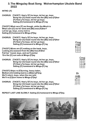# **3.The Mingulay Boat Song Wolverhampton Ukulele Band 2022**

### **INTRO: [F]**

**CHORUS: [TACET] Heel y'[F] ho boys, let her go, boys Bring her [C] head round into the [Bb] wea-[F]ther [F] Heel y'ho boys, let her go boys Sailing [C] homeward to Mingu-[F] lay**

**[TACET] What care [F] we though, white the Minch is What care [C] we for wind and [Bb] wea-[F]ther? Let her go, boys, every inch is Sailing [C] homeward to Mingu-[F]lay**

**CHORUS: [TACET] Heel y'[F] ho boys, let her go, boys Bring her [C] head round into the [Bb] wea-[F]ther [F] Heel y'ho boys, let her go boys Sailing [C] homeward to Mingu-[F] lay**

**[TACET] Wives are [F] waiting on the bank, boys, Looking [C] seaward from the [Bb] hea-[F]ther Pull her 'round, boys, and we'll anchor 'Ere the [C] sun sets at Mingu-[F]lay**

**CHORUS: [TACET] Heel y'[F] ho boys, let her go, boys, Bring her [C] head round into the [Bb] wea-[F]ther [F] Heel y'ho boys, let her go boys Sailing [C] homeward to Mingu-[F] lay**

**[TACET] Ships re-[F]turning, heavy laden, Mothers [C] holding bairns a-[Bb]cry[F]ing We'll return, boys, when the sun sets We'll re-[C]turn home to Mingu-[F]lay!**

**CHORUS: [TACET] Heel y'[F] ho boys, let her go, boys, Bring her [C] head round into the [Bb] wea-[F]ther [F] Heel y'ho boys, let her go boys Sailing [C] homeward to Mingu-[F] lay**

**REPEAT LAST LINE SLOWLY: Sailing [C] homeward to Mingu-[F]lay.**





| a |  |  |  |  |
|---|--|--|--|--|
|   |  |  |  |  |
|   |  |  |  |  |
|   |  |  |  |  |
|   |  |  |  |  |



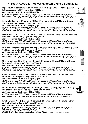# **4.South Australia Wolverhampton Ukulele Band 2022**

**In [C] South Australia [F] I was [C] born, [F] heave a-[C]way, [F] haul a-[C]way In South Australia [G7] round Cape [C] Horn, We're bound for South Aus-[G7]tra[C]lia [C]Haul away you [F] rolling [C] kings, [F] heave a-[C]way, [F] haul a-[C]way Haul away, you'll [F] hear me [C] sing, we're bound for South Aus-[G7]tra-[C]lia**

**As I walked out one [F] morning [C] fair [F] heave a-[C]way, [F] haul a-[C]way 'Twas there I met Miss [G7] Nancy [C] Blair, We're bound for South Aus-[G7]tra-[C]lia**

**[C]Haul away you [F] rolling [C] kings, [F] heave a-[C]way, [F] haul a-[C]way Haul away, you'll [F] hear me [C] sing, we're bound for South Aus-[G7]tra-[C]lia**

**I shook her up and I [F] shook her [C] down, [F] heave a-[C]way, [F] haul a-[C]way I shook her round and [G7]round the [C]town, We're bound for South Aus-[G7]tra-[C]lia [C]Haul away you [F] rolling [C] kings, [F] heave a-[C]way, [F] haul a-[C]way Haul away, you'll [F] hear me [C] sing, we're bound for South Aus-[G7]tra-[C]lia**

**I run her all night and I [F] run her all [C] day [F] heave a-[C]way, [F] haul a-[C]way And I run her until we [G7] sailed a-[C]way, We're bound for South Aus-[G7]tra-[C]lia [C]Haul away you [F] rolling [C] kings, [F] heave a-[C]way, [F] haul a-[C]way Haul away, you'll [F] hear me [C] sing, we're bound for South Aus-[G7]tra-[C]lia**

**There's just one thing [F] on my [C] mind, [F] heave a-[C]way, [F] haul a-[C]way To leave Miss Nancy [G7] Blair be-[C]hind, We're bound for South Aus-[G7]tra-[C]lia [C]Haul away you [F] rolling [C] kings, [F] heave a-[C]way, [F] haul a-[C]way Haul away, you'll [F] hear me [C] sing, we're bound for South Aus-[G7]tra-[C]lia**

**And as we wallop a-[F]round Cape Horn, [F] heave a-[C]way, [F] haul a-[C]way You'll wish to God you'd [G7]never been [C]born We're bound for South Aus-[G7]tra-[C]lia [C]Haul away you [F] rolling [C] kings, [F] heave a-[C]way, [F] haul a-[C]way Haul away, you'll [F] hear me [C] sing, we're bound for South Aus-[G7]tra-[C]lia**

**In South Australia my [F] native [C] land, [F] heave a-[C]way, [F] haul a-[C]way Full of rocks and thieves and [G7] fleas and [C] sand We're bound for South Aus-[G7]tra-[C]lia [C]Haul away you [F] rolling [C] kings, [F] heave a-[C]way, [F] haul a-[C]way Haul away, you'll [F] hear me [C] sing, we're bound for Aus-[G7]tra-[C]lia**

**I wish I was on Aus-[F]tralia's [C] strand, [F] heave a-[C]way, [F] haul a-[C]way With a bottle of whiskey [G7] in my [C] hand, We're bound for South Aus-[G7]tra-[C]lia [C]Haul away you [F] rolling [C] kings, [F] heave a-[C]way, [F] haul a-[C]way Haul away, you'll [F] hear me [C] sing, SLOW: We're bound for South Aus-[G7]tra-[C]lia** Ack: Bridgnorth Ukulele Band 2012







| а |  |  |
|---|--|--|
|   |  |  |
|   |  |  |
|   |  |  |
|   |  |  |
|   |  |  |



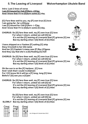# **5.The Leaving of Liverpool Wolverhampton Ukulele Band**

**Intro: Last 2 lines of verse I am [C] bound for Cali-[F]forn -i [C]ay And I know that I'll re-[G]turn some [C] day.**

**[C] Fare thee well to you, my [F] own true [C] love I am going far, far a-[G]way I am [C] bound for Cali-[F]forn -i -C]ay And I know that I'll re-[G]turn some [C] day.**

**CHORUS: So [G] fare thee well, my [F] own true [C] love For when I return, united we will [G] be It's not the [C] leaving of Liverpool that [F] grieves [C] me But my darling when I [G] think of [C] thee**

**I have shipped on a Yankee [F] sailing [C] ship Davy Crockett is her [G] name And her [C] Captain's name was [F] Bur-[C]gess And they say that she's a [G] floating [C] hell**

**CHORUS: So [G] fare thee well, my [F] own true [C] love For when I return, united we will [G] be It's not the [C] leaving of Liverpool that [F] grieves [C] me But my darling when I [G] think of [C] thee**

**Oh the sun is on the [F] harbour, [C] love And I wish that I could re-[G]main For I [C] know tht it will be a [F] long, long [C] time Before I [G] see you a-[C]ain**

**CHORUS: So [G] fare thee well, my [F] own true [C] love For when I return, united we will [G] be It's not the [C] leaving of Liverpool that [F] grieves [C] me But my darling when I [G] think of [C] thee**

 **So [G] fare thee well, my [F] own true [C] love For when I return, united we will [G] be It's not the [C] leaving of Liverpool that [F] grieves [C] me SLOWLY But my darling when I [G] think of [C] thee**





Ack: Bridgnorth Ukulele Band 2012







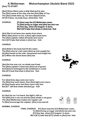**6.Wellerman Wolverhampton Ukulele Band 2022 [Am] TO START**

**[Am] Once there was a ship that put to sea The [Dm] name of the ship was the [Am] Billy of Tea The [Am] winds blew up, her bow dipped down, Oh [E7] blow, my bully boys, [Am] blow Huh**

**CHORUS: [F] Soon may the [C] Wellerman come, To [Dm] bring us sugar and [Am] tea and rum [F] One day, when [C] tonguin' is done, We'll [E7] take that whale in [Am] tow Huh** 

**[Am] She'd not been two weeks from shore When [Dm] down on her a [Am] right whale bore The [Am] captain called all hands and swore He'd [E7] take that whale in [Am] tow Huh**

**CHORUS**

**[Am] Before the boat had hit the water, The [Dm] wha-le's tail came [Am] up and caught her All [Am] hands to the side, harpooned and fought her, [E7] When she dived down [Am] low**

#### **CHORUS**

**[Am] No line was cut, no whale was freed The [Dm] captain's mind was [Am] not of greed And [Am] he belonged to the whaleman's creed She [E7] took that ship in [Am] tow Huh**

#### **CHORUS**

**For [Am] forty days and even more The [Dm] line went slack, then [Am] tight once more, All [Am] boats were lost there were only four But [E7' still that whale did [Am] go Huh**

#### **CHORUS**

**As [Am] far as I've heard, the fight's still on The [Dm] line's not cut and the [Am] whale's not gone The [Am] Wellerman makes his regular call To [Dm] encourage the captain, [Am] crew and all**

**NORMAL CHORUS**

 **FINAL CHORUS: [F/] Soon may the [C/] Wellerman come, To [Dm/] bring us sugar and [Am/] tea and rum [F/] One day, when [C/] tonguin' is done, We'll [E7/] take that [E7/] whale in [Am/] tow Huh**



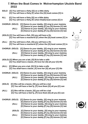# **7.When the Boat Comes In Wolverhampton Ukulele Band 2022**

- **SOLO [C] You will have a fishy [G] on a little dishy [C] You will have a fishy [F] when the [G] boat comes [C] in**
- **ALL [C] You will have a fishy [G] on a little dishy [C] You will have a fishy [F] when the[G] boat comes [C] in**

**CHORUS (SOLO) [C] Dance to your daddy, [G] sing to your mammy [C] Dance to your daddy,[F] my [G] bonnie [C] lad.**

- **(ALL) [C] Dance to your daddy, [G] sing to your mammy [C] Dance to your daddy,[F] my [G] bonnie [C] lad.**
- **(SOLO) [C] You will have a fish, [G] you will have a fin [C] You will have a mackerel [F] when the [G] boat comes [C] in**
- **(ALL) [C] You will have a fish, [G] you will have a fin [C] You will have a mackerel [F] when the [G] boat comes [C] in**
- **CHORUS (SOLO) [C] Dance to your daddy, [G] sing to your mammy [C] Dance to your daddy,[F] my [G] bonnie [C] lad.**
	- **(ALL) [C] Dance to your daddy, [G] sing to your mammy [C] Dance to your daddy,[F] my [G] bonnie [C] lad.**
- **(SOLO) [C] When you are a lad, [G] fit to take a wife [C] You shall have a lassie, [F] love her [G] all your [C] life**
- **(ALL) [C] When you are a lad, [G] fit to take a wife [C] You shall have a lassie, [F] love her [G] all your [C] life**
- **CHORUS (SOLO) [C] Dance to your daddy, [G] sing to your mammy [C] Dance to your daddy,[F] my [G] bonnie [C] lad.**
	- **(ALL) [C] Dance to your daddy, [G] sing to your mammy [C] Dance to your daddy,[F] my [G] bonnie [C] lad.**
- **(SOLO) [C] She will be a lassie, [G] you will be a lad [C] You will have a fam'ly, [F] love them [G] all you [C] can**
- **(ALL) [C] She will be a lassie, [G] you will be a lad [C] You will have a fam'ly, [F] love them [G] all you [C] can**

**CHORUS (SOLO) [C] Dance to your daddy, [G] sing to your mammy [C] Dance to your daddy,[F] my [G] bonnie [C] lad.**

- **(ALL) [C] Dance to your daddy, [G] sing to your mammy [C] Dance to your daddy,[F] my [G] bonnie [C] lad.**
- **(SOLO) [C] Dance to your daddy, [G] sing to your mammy [C] Dance to your daddy,[F] my [G] bonnie [C] lad. (ALL) [C] Dance to your daddy, [G] sing to your mammy [C] Dance to your daddy,[F] my [G] bonnie [C] lad.**







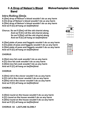# **8.A Drop of Nelson's Blood Wolverhampton Ukulele Band**

# **Intro:Rolling [Dm]s**

**A [Dm] drop of Nelson's blood wouldn't do us any harm A [C] drop of Nelson's blood wouldn't do us any harm A [Dm] drop of Nelson's blood wouldn't do us any harm And we'll [C] all hang on be[Dm]hind**

**Chorus: So we'll [Dm] roll the old chariot along And we'll [C] roll the old chariot along So we'll [Dm] roll the old chariot along And we'll [C] all hang on be[Dm]hind**

**A [Dm] plate of peas and faggots wouldn't do us any harm A [C] plate of peas and faggots wouldn't do us any harm A [Dm] plate of peas and faggots wouldn't do us any harm And we'll [C] all hang on be[Dm]hind**

# **CHORUS**

**A [Dm] nice fat cook wouldn't do us any harm A [C] nice fat cook wouldn't do us any harm A [Dm] nice fat cook wouldn't do us any harm And we'll [C] all hang on be[Dm]hind**

# **CHORUS**

**A [Dm] roll in the clover wouldn't do us any harm A [C] roll in the clover wouldn't do us any harm A [Dm] roll in the clover wouldn't do us any harm And we'll [C] all hang on be[Dm]hind**

# **CHORUS**

**A [Dm] round on the house wouldn't do us any harm A [C] round on the house wouldn't do us any harm A [Dm] round on the house wouldn't do us any harm And we'll [C] all hang on be[Dm]hind**

**CHORUS X2 LASTLINE SLOWLY** 



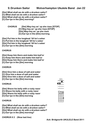# **9.Drunken Sailor Wolverhampton Ukulele Band Jan 22**

**[Dm] What shall we do with a drunken sailor? [C] What shall we do with a drunken sailor? [Dm] What shall we do with a drunken sailor? [C] Ear-lye in the [Dm] morning?**

> **CHORUS [Dm] Way-hey an' up she rises [STOP] [C] Way-hey an' up she rises [STOP] [Dm] Way-hey an' up she rises [C] Ear-lye in the [Dm] morning**

**[Dm] Put him in the longboat 'till he's sober [C] Put him in the longboat 'till he's sober [Dm] Put him in the longboat 'till he's sober [C] Ear-lye in the [Dm] morning**

#### **CHORUS**

**[Dm] Keep him there and make him bail'er [C] Keep him there and make him bail'er [Dm] Keep him there and make him bail'er [C] Ear-lye in the [Dm] morning**

#### **CHORUS**

**[Dm] Give him a dose of salt and water [C] Give him a dose of salt and water [Dm] Give him a dose of salt and water [C] Ear-lye in the [Dm] morning**

#### **CHORUS**

**[Dm] Shave his belly with a rusty razor [C] Shave his belly with a rusty razor [Dm] Shave his belly with a rusty razor [C] Ear-lye in the [Dm] morning**

#### **CHORUS**

**[Dm] What shall we do with a drunken sailor? [C] What shall we do with a drunken sailor? [Dm] What shall we do with a drunken sailor? [C] Ear-lye in the [Dm] morning?**

**CHORUS X 2 (Slow last line)** 



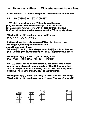# **10. Fisherman's Blues Wolverhampton Ukulele Band**

**From: Richard G's Ukulele Songbook www.scorpex.net/uke.htm** 

**Intro: [G] [F] [Am] [C] [G] [F] [Am] [C]** 

 **I [G] wish I was a fisherman [F] tumbling on the seas [Am] Far away from dry land and its [C] bitter memories [G] Casting out my sweet line with a[F]bandonment and love [Am] No ceiling bearing down on me save the [C] starry sky above** 

**With light in my [G] head…….you in my [F] arms [Am] Wooh [G] [F] [Am] [C]** 

**I [G] wish I was the brakeman on a [F] hurtling fevered train Crashing [Am]headlong into the heartland Like a [C]cannon in the rain** 

**With the [G] beating of the sleepers and the [F] burnin' of the coal [Am] Counting the towns flashing by in a [C] night that's full of soul** 

**With light in my [G] head…….you in my [F] arms [Am] Wooh [G] [F] [Am] [C] [G] [F] [Am] [C]** 

**Oh I [G] know I will be loosened from [F] bonds that hold me fast And the [Am] chains all hung around me [C] will fall away at last And on that [G] fine and fateful day I will [F] take thee in my hands I will [Am] ride on the train I will [C] be the fisherman** 

**With light in my [G] head…you in my [F] arms Woo hoo [Am] ooh [C] With light in my [G] head…you in my [F] arms Woo hoo [Am] ooh [C]** 







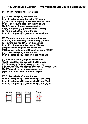# **11. Octopus's Garden Wolverhampton Ukulele Band 2019**

### **INTRO: [C] [Am] [F] [G] First 2 lines**

**[C] I'd like to be [Am] under the sea In an [F] octopus's garden in the [G] shade [C] He'd let us in [Am] knows where we've been In his [F] octopus's garden in the [G] shade [Am] I'd ask my friends to come and see An [F] octopus's [G] garden with me [STOP] [C] I'd like to be [Am] under the sea In an [F] octopus's [G] garden in the [C] shade** 

**[C] We would be warm, [Am] below the storm In our [F] little hideaway beneath the [G] waves [C] Resting our head [Am] on the sea bed In an [F] octopus's garden near a [G] cave [Am] We would sing and dance around [F] Because we know we [G] can't be found [STOP] [C] I'd like to be [Am] under the sea In an [F] octopus's [G] garden in the [C] shade** 

**[C] We would shout [Am] and swim about The [F] coral that lies beneath the [G] waves [C] Oh what joy for [Am] every girl and boy [F] Knowing they're happy and they're [G] safe [STOP] [Am] We would be so happy you and me [F] No one there to tell us what to [G] do** 

**[C] I'd like to be [Am] under the sea In an [F] octopus's [G] garden with [C] you [Am] In an [F] octopus's [G] garden with [C] you [Am] In an [F] octopus's [G] garden with [C] you [G] [C]** 

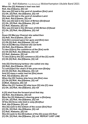12. Roll Alabama (Trad./Bellowhead) Wolverhampton Ukulele Band 2021 **When the [G] Alabama's keel was laid Roll, Ala-[C]bama, [D] roll She was [G] laid in the yard of Jonathon [Em] Laird [C] Oh, [G] Roll, Ala-[D]bama, [G] roll She was [G] laid in the yard of Jonathon Laird [G] Roll, Ala-[C]bama, [D] roll She was [G] laid in the town of Birken-[Em]head [C] Oh, [G] Roll, Ala-[D]bama, [G] roll [C] Roll, Alabama, [D] roll She was [C] laid in the [D] town of [G] Birken-[C]head [C] Oh, [G] Roll, Ala-[D]bama, [G] roll n Down [G] Mersey Channel she sailed then [G] Roll, Ala-[C]bama, [D] roll And [G] Liverpool gave her guns and [Em] men [C] Oh [G] Roll, Ala-[D]bama, [G] roll Out of [G] Mersey Channel she set forth [G] Roll, Ala-[C]bama, [D] roll To des-[G]troy the commerce of the [Em] north [C] Oh [G] Roll, Ala-[D]bama, [G] roll [C] Roll, Alabama, [D] roll To des-[C]troy the [D] commerce [G] of the [C] north [C] Oh [G] Roll, Ala-[D]bama, [G] roll**

**Into [G] Cherbourg harbour she sailed one day [G] Roll, Ala-[C]bama, [D] roll To coll-[G]ect her share of the prize mon-[Em]ey [C] Oh [G] Roll, Ala-[D]bama, [G] roll And [G] many a sailor met his [Em] doom Roll, Ala-[C]bama, [D] roll When the [G] Yankee ship hove into [Em] view [C] Oh [G] Roll, Ala-[D]bama, [G] roll [C]Roll, Alabama, [D] roll When the [C] Yankee [D] ship hove [G] into [C] view [C] Oh, [G] Roll, Ala-[D]bama, [G] roll**

**A [G] shot from the forward pivot that day [G] Roll, Ala-[C]bama, [D] roll Blew the [G] Alabama's steering gear a-[Em]way [C] Oh, [G] Roll, Ala-[D]bama, [G] roll Of the [G] three mile limit in sixty-[Em]four Roll, Ala-[C]bama, [D] roll She [G] sank to the bottom of the ocean [Em] floor [C] Oh, [G] Roll, Ala-[D]bama, [G] roll [C] Roll, Alabama, [D] roll She [C] sank to the [D] bottom of the [G] ocean [C] floor [C] Oh, [G] Roll, Ala-[D]bama, [G] roll. REPEAT LAST LINE**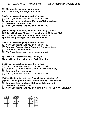**(C) Old man rhythm gets in my shoes It's no use sitting and singin' the blues.** 

**So (G) be my guest, you got nothin' to lose..** 

**(C) Won't you let me take you on a sea cruise?** 

**(C) Ooh-wee, Ooh-wee,baby.. Ooh-wee, Ooh-wee, baby** 

**(G) Ooh-wee, Ooh-wee, baby** 

**(C) Won't you let me take you on a sea cruise?** 

**(F) Feel like jumpin, baby won't you join me, (C) please?** 

**I (F) don't like beggin' but now I'm on bended (G) knees (G7)** 

**I (C) got to get to rockin', got my hat off the rack**

**I got the boogie woogie like a knife in the back.** 

**So (G) be my guest, you got nothin' to lose**

**(C) Won't you let me take you on a sea cruise?** 

**(C) Ooh-wee, Ooh-wee,baby Ooh-wee, Ooh-wee, baby** 

**(G) Ooh-wee, Ooh-wee, baby** 

**(C) Won't you let me take you on a sea cruise?** 

**I (C) got to get to movin' baby, I ain't lyin' My heart is beatin' rhythm and it's right on time.** 

**So (G) be my guest, you got nothin' to lose** 

**(C) Won't you let me take you on a sea cruise?** 

**(C) Ooh-wee, Ooh-wee, baby Ooh-wee, Ooh-wee, baby** 

**(G) Ooh-wee, Ooh-wee, baby** 

**(C) Won't you let me take you on a sea cruise?** 

**(F) Feel like jumpin', baby won't you join me, (C) please?** 

**(F) don't like beggin' but now I'm on bended (G) knees (G7)** 

**(C) Ooh-wee, Ooh-wee,baby Ooh-wee, Ooh-wee, baby.** 

**(G) Ooh-wee, Ooh-wee, baby** 

**(C) Won't you let me take you on a [single hits] (C/) SEA (C/) CRUISE?** 

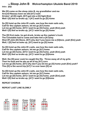**14.Sloop John B Wolverhampton Ukulele Band 2019 Intro [D]s** 

**We [D] come on the sloop John B, my grandfather and me Around Nassau town we did [A7] roam Drinkin' all [D] night, [D7] got into a [G] fight [Em] Well I [D] feel so broke up, I [A7] want to go [D] home**

**So [D] hoist up the John B's sails, see how the main sails sets, Call for the captain ashore, let me go [A7] home Let me go [D] home, [D7] I want to go [G] home, yeah [Em] yeah Well I [D] feel so broke up, [A7] I want to go [D] home**

**The [D] first mate, he got drunk, broke up the captain's trunk The Constable had to come and take him a-[A7]way Sherriff John [D] Stone, [D7] why don't you leave me a-[G]lone, yeah [Em] yeah Well, I [D] feel so boke up, [A7] want to go [D] home**

**So [D] hoist up the John B's sails, see how the main sails sets, Call for the captain ashore, let me go [A7] home Let me go [D] home, [D7] I want to go [G] home, yeah [Em] yeah Well I [D] feel so broke up, [A7] I want to go [D]home**

**Well, the [D] poor cook he caught the fits. Threw away all of my grits Then he took and he ate up all of my [A7] corn Let me go [D] home, [D7] why don't you let me go [G] home yeah [Em] yeah? This [D] is the worst trip [A7] I've ever been [D] on**

**So [D] hoist up the John B's sails, see how the main sails sets, Call for the captain ashore, let me go [A7] home Let me go [D] home, [D7] I want to go [G] home, yeah [Em] yeah Well I [D] feel so broke up, [A7] I want to go [D]home**

**REPEAT CHORUS**

**REPEAT LAST LINE SLOWLY**